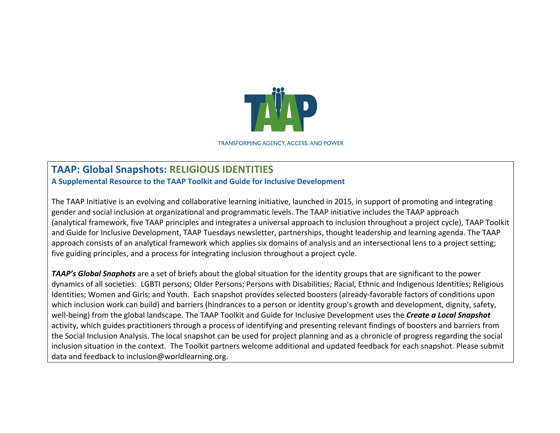

**TRANSFORMING AGENCY, ACCESS, AND POWER** 

## **TAAP: Global Snapshots: RELIGIOUS IDENTITIES**

**A Supplemental Resource to the TAAP Toolkit and Guide for Inclusive Development**

The TAAP Initiative is an evolving and collaborative learning initiative, launched in 2015, in support of promoting and integrating gender and social inclusion at organizational and programmatic levels. The TAAP initiative includes the TAAP approach (analytical framework, five TAAP principles and integrates a universal approach to inclusion throughout a project cycle), TAAP Toolkit and Guide for Inclusive Development, TAAP Tuesdays newsletter, partnerships, thought leadership and learning agenda. The TAAP approach consists of an analytical framework which applies six domains of analysis and an intersectional lens to a project setting; five guiding principles, and a process for integrating inclusion throughout a project cycle.

**TAAP's Global Snaphots** are a set of briefs about the global situation for the identity groups that are significant to the power dynamics of all societies: LGBTI persons; Older Persons; Persons with Disabilities; Racial, Ethnic and Indigenous Identities; Religious Identities; Women and Girls; and Youth. Each snapshot provides selected boosters (already-favorable factors of conditions upon which inclusion work can build) and barriers (hindrances to a person or identity group's growth and development, dignity, safety, well-being) from the global landscape. The TAAP Toolkit and Guide for Inclusive Development uses the **Create a Local Snapshot** activity, which guides practitioners through a process of identifying and presenting relevant findings of boosters and barriers from the Social Inclusion Analysis. The local snapshot can be used for project planning and as a chronicle of progress regarding the social inclusion situation in the context. The Toolkit partners welcome additional and updated feedback for each snapshot. Please submit data and feedback to inclusion@worldlearning.org.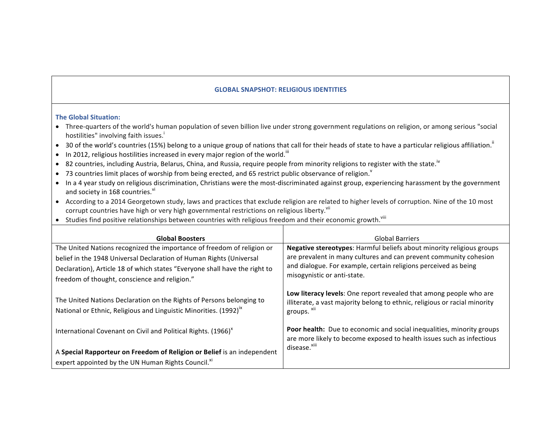## **GLOBAL SNAPSHOT: RELIGIOUS IDENTITIES**

## **The Global Situation:**

- Three-quarters of the world's human population of seven billion live under strong government regulations on religion, or among serious "social hostilities" involving faith issues.<sup>†</sup>
- 30 of the world's countries (15%) belong to a unique group of nations that call for their heads of state to have a particular religious affiliation.<sup>ii</sup>
- In 2012, religious hostilities increased in every major region of the world.  $^{\text{iii}}$
- 82 countries, including Austria, Belarus, China, and Russia, require people from minority religions to register with the state.<sup>iv</sup>
- 73 countries limit places of worship from being erected, and 65 restrict public observance of religion. $\degree$
- In a 4 year study on religious discrimination, Christians were the most-discriminated against group, experiencing harassment by the government and society in 168 countries.<sup>vi</sup>
- According to a 2014 Georgetown study, laws and practices that exclude religion are related to higher levels of corruption. Nine of the 10 most corrupt countries have high or very high governmental restrictions on religious liberty.<sup>vii</sup>
- Studies find positive relationships between countries with religious freedom and their economic growth.  $"$

| <b>Global Boosters</b>                                                                                                                                | <b>Global Barriers</b>                                                                                                                                                            |
|-------------------------------------------------------------------------------------------------------------------------------------------------------|-----------------------------------------------------------------------------------------------------------------------------------------------------------------------------------|
| The United Nations recognized the importance of freedom of religion or<br>belief in the 1948 Universal Declaration of Human Rights (Universal         | Negative stereotypes: Harmful beliefs about minority religious groups<br>are prevalent in many cultures and can prevent community cohesion                                        |
| Declaration), Article 18 of which states "Everyone shall have the right to                                                                            | and dialogue. For example, certain religions perceived as being<br>misogynistic or anti-state.                                                                                    |
| freedom of thought, conscience and religion."                                                                                                         |                                                                                                                                                                                   |
| The United Nations Declaration on the Rights of Persons belonging to<br>National or Ethnic, Religious and Linguistic Minorities. (1992) <sup>ix</sup> | Low literacy levels: One report revealed that among people who are<br>illiterate, a vast majority belong to ethnic, religious or racial minority<br>groups. <sup>xii</sup>        |
| International Covenant on Civil and Political Rights. (1966) <sup>x</sup>                                                                             | <b>Poor health:</b> Due to economic and social inequalities, minority groups<br>are more likely to become exposed to health issues such as infectious<br>disease. <sup>xiii</sup> |
| A Special Rapporteur on Freedom of Religion or Belief is an independent                                                                               |                                                                                                                                                                                   |
| expert appointed by the UN Human Rights Council. <sup>xi</sup>                                                                                        |                                                                                                                                                                                   |